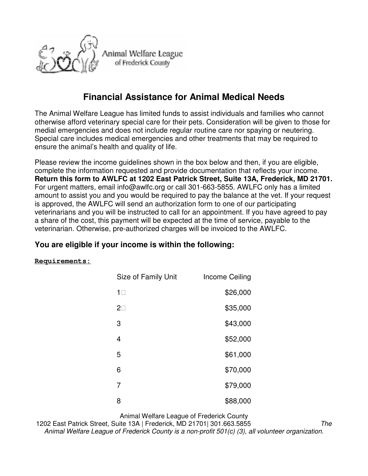

## **Financial Assistance for Animal Medical Needs**

The Animal Welfare League has limited funds to assist individuals and families who cannot otherwise afford veterinary special care for their pets. Consideration will be given to those for medial emergencies and does not include regular routine care nor spaying or neutering. Special care includes medical emergencies and other treatments that may be required to ensure the animal's health and quality of life.

Please review the income guidelines shown in the box below and then, if you are eligible, complete the information requested and provide documentation that reflects your income. **Return this form to AWLFC at 1202 East Patrick Street, Suite 13A, Frederick, MD 21701.**  For urgent matters, email info@awlfc.org or call 301-663-5855. AWLFC only has a limited amount to assist you and you would be required to pay the balance at the vet. If your request is approved, the AWLFC will send an authorization form to one of our participating veterinarians and you will be instructed to call for an appointment. If you have agreed to pay a share of the cost, this payment will be expected at the time of service, payable to the veterinarian. Otherwise, pre-authorized charges will be invoiced to the AWLFC.

## **You are eligible if your income is within the following:**

## **Requirements:**

| Size of Family Unit | Income Ceiling |
|---------------------|----------------|
| 1                   | \$26,000       |
| 2                   | \$35,000       |
| 3                   | \$43,000       |
| 4                   | \$52,000       |
| 5                   | \$61,000       |
| 6                   | \$70,000       |
| 7                   | \$79,000       |
| 8                   | \$88,000       |

Animal Welfare League of Frederick County

1202 East Patrick Street, Suite 13A | Frederick, MD 21701| 301.663.5855 The Animal Welfare League of Frederick County is a non-profit 501(c) (3), all volunteer organization.